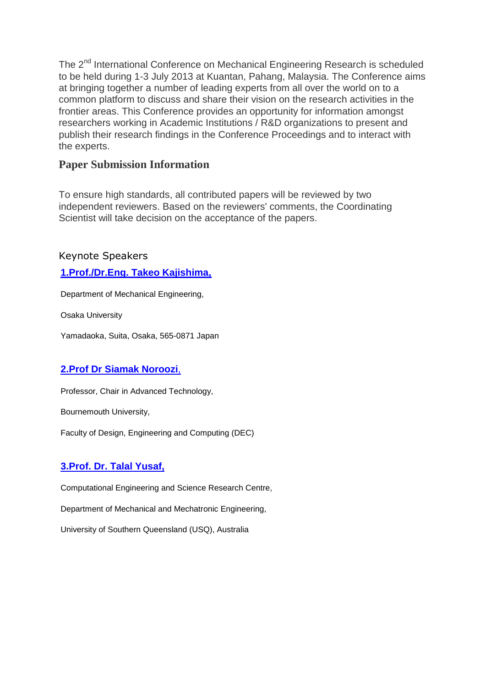The 2<sup>nd</sup> International Conference on Mechanical Engineering Research is scheduled to be held during 1-3 July 2013 at Kuantan, Pahang, Malaysia. The Conference aims at bringing together a number of leading experts from all over the world on to a common platform to discuss and share their vision on the research activities in the frontier areas. This Conference provides an opportunity for information amongst researchers working in Academic Institutions / R&D organizations to present and publish their research findings in the Conference Proceedings and to interact with the experts.

## **Paper Submission Information**

To ensure high standards, all contributed papers will be reviewed by two independent reviewers. Based on the reviewers' comments, the Coordinating Scientist will take decision on the acceptance of the papers.

Keynote Speakers

## **[1.Prof./Dr.Eng. Takeo Kajishima,](http://icmer.ump.edu.my/index.php?option=com_content&view=article&id=67&Itemid=60)**

Department of Mechanical Engineering,

Osaka University

Yamadaoka, Suita, Osaka, 565-0871 Japan

## **[2.Prof Dr Siamak Noroozi](http://staffprofiles.bournemouth.ac.uk/display/snoroozi#affiliation)**,

Professor, Chair in Advanced Technology,

Bournemouth University,

Faculty of Design, Engineering and Computing (DEC)

## **[3.Prof. Dr. Talal Yusaf,](http://icmer.ump.edu.my/index.php?option=com_content&view=article&id=68&Itemid=60)**

Computational Engineering and Science Research Centre,

Department of Mechanical and Mechatronic Engineering,

University of Southern Queensland (USQ), Australia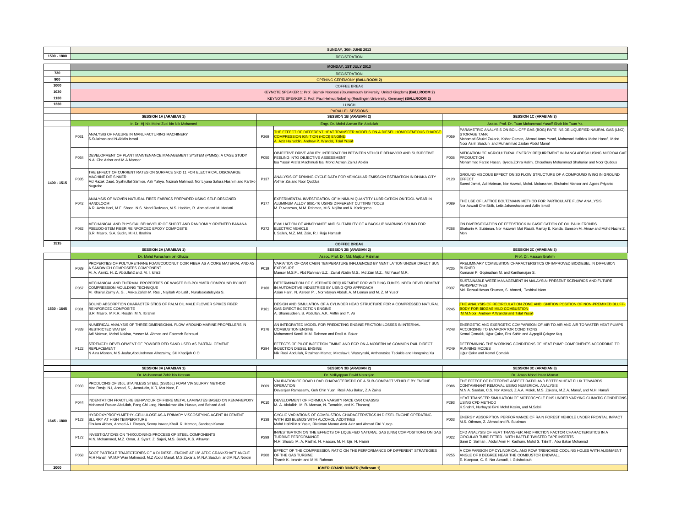|              | SUNDAY, 30th JUNE 2013 |                                                                                                                                                                                                     |                  |                                                                                                                                                                                                                 |                  |                                                                                                                                                                                                                                                           |  |  |  |  |  |  |  |
|--------------|------------------------|-----------------------------------------------------------------------------------------------------------------------------------------------------------------------------------------------------|------------------|-----------------------------------------------------------------------------------------------------------------------------------------------------------------------------------------------------------------|------------------|-----------------------------------------------------------------------------------------------------------------------------------------------------------------------------------------------------------------------------------------------------------|--|--|--|--|--|--|--|
| 1500 - 1800  | <b>REGISTRATION</b>    |                                                                                                                                                                                                     |                  |                                                                                                                                                                                                                 |                  |                                                                                                                                                                                                                                                           |  |  |  |  |  |  |  |
|              | MONDAY, 1ST JULY 2013  |                                                                                                                                                                                                     |                  |                                                                                                                                                                                                                 |                  |                                                                                                                                                                                                                                                           |  |  |  |  |  |  |  |
| 730          | <b>REGISTRATION</b>    |                                                                                                                                                                                                     |                  |                                                                                                                                                                                                                 |                  |                                                                                                                                                                                                                                                           |  |  |  |  |  |  |  |
| 900          |                        |                                                                                                                                                                                                     |                  | <b>OPENING CEREMONY (BALLROOM 2)</b>                                                                                                                                                                            |                  |                                                                                                                                                                                                                                                           |  |  |  |  |  |  |  |
| 1000         |                        |                                                                                                                                                                                                     |                  | <b>COFFEE BREAK</b>                                                                                                                                                                                             |                  |                                                                                                                                                                                                                                                           |  |  |  |  |  |  |  |
| 1030         |                        |                                                                                                                                                                                                     |                  | KEYNOTE SPEAKER 1: Prof. Siamak Nooroozi (Bournemouth University, United Kingdom) (BALLROOM 2)                                                                                                                  |                  |                                                                                                                                                                                                                                                           |  |  |  |  |  |  |  |
| 1130<br>1230 |                        |                                                                                                                                                                                                     |                  | KEYNOTE SPEAKER 2: Prof. Paul Helmut Nebeling (Reutlingen University, Germany) (BALLROOM 2)                                                                                                                     |                  |                                                                                                                                                                                                                                                           |  |  |  |  |  |  |  |
|              |                        |                                                                                                                                                                                                     |                  | <b>LUNCH</b><br><b>PARALLEL SESSIONS</b>                                                                                                                                                                        |                  |                                                                                                                                                                                                                                                           |  |  |  |  |  |  |  |
|              |                        | <b>SESSION 1A (ARABIAN 1)</b>                                                                                                                                                                       |                  | <b>SESSION 1B (ARABIAN 2)</b>                                                                                                                                                                                   |                  | <b>SESSION 1C (ARABIAN 3)</b>                                                                                                                                                                                                                             |  |  |  |  |  |  |  |
|              |                        | Ir. Dr. Hj Nik Mohd Zuki bin Nik Mohamed                                                                                                                                                            |                  | Engr. Dr. Mohd Azman Bin Abdullah                                                                                                                                                                               |                  | Assoc. Prof. Dr. Tuan Mohammad Yusoff Shah bin Tuan Ya                                                                                                                                                                                                    |  |  |  |  |  |  |  |
|              | P031                   | ANALYSIS OF FAILURE IN MANUFACTURING MACHINERY<br>S.Sulaiman and N.Abidin Ismail                                                                                                                    | P269             | HE EFFECT OF DIFFERENT HEAT TRANSFER MODELS ON A DIESEL HOMOGENEOUS CHARGE<br>COMPRESSION IGNITION (HCCI) ENGINE<br>Aziz Hairuddin, Andrew P. Wandel, Talal Yusal                                               | P059             | PARAMETRIC ANALYSIS ON BOIL-OFF GAS (BOG) RATE INSIDE LIQUEFIED NAURAL GAS (LNG)<br><b>STORAGE TANK</b><br>Mohamad Shukri Zakaria, Kahar Osman, Ahmad Anas Yusof, Mohamad Hafidzal Mohd Hanafi, Mohd<br>Noor Asril Saadun and Muhammad Zaidan Abdul Manat |  |  |  |  |  |  |  |
|              | P034                   | DEVELOPMENT OF PLANT MAINTENANCE MANAGEMENT SYSTEM (PMMS): A CASE STUDY<br>N.A. Che Azhar and M.A Mansor                                                                                            | P050             | OBJECTIVE DRIVE ABILITY: INTEGRATION BETWEEN VEHICLE BEHAVIOR AND SUBJECTIVE<br>FEELING INTO OBJECTIVE ASSESSMENT<br>Isa Yassir Arafat Machmudi Isa, Mohd Azman Zainul Abidin                                   | P036             | MITIGATION OF AGRICULTURAL ENERGY REQUIREMENT IN BANGLADESH USING MICROALGAE<br><b>PRODUCTION</b><br>Mohammad Farzid Hasan, Syeda Zohra Halim, Choudhury Mohammad Shahariar and Noor Quddus                                                               |  |  |  |  |  |  |  |
| 1400 - 1515  | P035                   | THE EFFECT OF CURRENT RATES ON SURFACE SKD 11 FOR ELECTRICAL DISCHARGE<br>MACHINE DIE SINKER<br>Md Razak Daud, Syahrullail Samion, Azli Yahya, Nazriah Mahmud, Nor Liyana Safura Hashim and Kartiko | P137             | ANALYSIS OF DRIVING CYCLE DATA FOR VEHICULAR EMISSION ESTIMATION IN DHAKA CITY<br>Akhter Zia and Noor Quddus                                                                                                    | P120             | GROUND VISCOUS EFFECT ON 3D FLOW STRUCTURE OF A COMPOUND WING IN GROUND<br><b>EFFECT</b><br>Saeed Jamei, Adi Maimun, Nor Azwadi, Mohd. Mobassher, Shuhaimi Mansor and Agoes Priyanto                                                                      |  |  |  |  |  |  |  |
|              | P042                   | ANALYSIS OF WOVEN NATURAL FIBER FABRICS PREPARED USING SELF-DESIGNED<br><b>HANDLOOM</b><br>A.R. Azrin Hani, M.F. Shaari, N.S. Mohd Radzuan, M.S. Hashim, R. Ahmad and M. Mariatti                   | P177             | EXPERIMENTAL INVESTIGATION OF MINIMUM QUANTITY LUBRICATION ON TOOL WEAR IN<br>ALUMINUM ALLOY 6061-T6 USING DIFFERENT CUTTING TOOLS<br>M. Puvanesan, M.M. Rahman, M.S. Najiha and K. Kadirgama                   | P089             | THE USE OF LATTICE BOLTZMANN METHOD FOR PARTICULATE FLOW ANALYSIS<br>Nor Azwadi Che Sidik, Leila Jahanshaloo and Azlin Ismai                                                                                                                              |  |  |  |  |  |  |  |
|              | P082                   | MECHANICAL AND PHYSICAL BEHAVIOUR OF SHORT AND RANDOMLY ORIENTED BANANA<br><b>PSEUDO-STEM FIBER REINFORCED EPOXY COMPOSITE</b><br>S.R. Masrol, S.A. Sudin, M.H.I. Ibrahim                           | P272             | EVALUATION OF ANNOYANCE AND SUITABILITY OF A BACK-UP WARNING SOUND FOR<br><b>ELECTRIC VEHICLE</b><br>Salleh, M.Z. Md. Zain, R.I. Raja Hamzah                                                                    | P268             | ON DIVERSIFICATION OF FEEDSTOCK IN GASIFICATION OF OIL PALM FRONDS<br>Shaharin A. Sulaiman, Nor Hazwani Mat Razali, Ramzy E. Konda, Samson M. Atnaw and Mohd Nazmi Z.<br>Moni                                                                             |  |  |  |  |  |  |  |
| 1515         |                        |                                                                                                                                                                                                     |                  | <b>COFFEE BREAK</b>                                                                                                                                                                                             |                  |                                                                                                                                                                                                                                                           |  |  |  |  |  |  |  |
|              |                        | SESSION 2A (ARABIAN 1)                                                                                                                                                                              |                  | <b>SESSION 2B (ARABIAN 2)</b>                                                                                                                                                                                   |                  | <b>SESSION 2C (ARABIAN 3)</b>                                                                                                                                                                                                                             |  |  |  |  |  |  |  |
|              |                        | Dr. Mohd Fairusham bin Ghazal                                                                                                                                                                       |                  | Assoc. Prof. Dr. Md. Mujibur Rahman                                                                                                                                                                             |                  | Prof. Dr. Hassan Ibrahim                                                                                                                                                                                                                                  |  |  |  |  |  |  |  |
|              | P039                   | PROPERTIES OF POLYURETHANE FOAM/COCONUT COIR FIBER AS A CORE MATERIAL AND AS<br>A SANDWICH COMPOSITES COMPONENT<br>M. A. Azmi1, H. Z. Abdullah2 and, M. I. Idris3                                   | P019             | VARIATION OF CAR CABIN TEMPERATURE INFLUENCED BY VENTILATION UNDER DIRECT SUN<br><b>EXPOSURE</b><br>Mansor M.S.F., Abd Rahman U.Z., Zainal Abidin M.S., Md Zain M.Z., Md Yusof M.R.                             | P235             | PRELIMINARY COMBUSTION CHARACTERISTICS OF IMPROVED BIODIESEL IN DIFFUSION<br><b>BURNER</b><br>Kumaran P, Gopinathan M. and Kantharrajan S.                                                                                                                |  |  |  |  |  |  |  |
|              |                        | MECHANICAL AND THERMAL PROPERTIES OF WASTE BIO-POLYMER COMPOUND BY HOT                                                                                                                              |                  | DETERMINATION OF CUSTOMER REQUIREMENT FOR WELDING FUMES INDEX DEVELOPMENT                                                                                                                                       |                  | SUSTAINABLE WEEE MANAGEMENT IN MALAYSIA: PRESENT SCENARIOS AND FUTURE<br>PERSPECTIVES                                                                                                                                                                     |  |  |  |  |  |  |  |
|              | P067                   | COMPRESSION MOULDING TECHNIQUE<br>M. Khairul Zaimy A. G. , Anika Zafiah M. Rus , Najibah Ab Latif , Nurulsaidatulsyida S.                                                                           | P160             | IN AUTOMOTIVE INDUSTRIES BY USING QFD APPROACH<br>Azian Hariri, N. Azreen P., Norhidayah Abdull, A. M Leman and M. Z. M Yusof                                                                                   | P337             | Md. Rezaul Hasan Shumon, S. Ahmed. Tasbirul Islam                                                                                                                                                                                                         |  |  |  |  |  |  |  |
| 1530 - 1645  | P081                   | SOUND ABSORPTION CHARACTERISTICS OF PALM OIL MALE FLOWER SPIKES FIBER<br>REINFORCED COMPOSITE<br>S.R. Masrol, M.K.R. Rosdin, M.N. Ibrahim                                                           | P161             | DESIGN AND SIMULATION OF A CYLINDER HEAD STRUCTURE FOR A COMPRESSED NATURAL<br>GAS DIRECT INJECTION ENGINE<br>A. Shamsudeen, S. Abdullah, A.K. Ariffin and Y. Ali                                               | P245             | HE ANALYSIS OF RECIRCULATION ZONE AND IGNITION POSITION OF NON-PREMIXED BLUFF-<br><b>BODY FOR BIOGAS MILD COMBUSTION</b><br>M.M.Noor, Andrew P.Wandel and Talal Yusa                                                                                      |  |  |  |  |  |  |  |
|              | P339                   | NUMERICAL ANALYSIS OF THREE DIMENSIONAL FLOW AROUND MARINE PROPELLERS IN<br><b>RESTRICTED WATER</b><br>Adi Maimun, Mehdi Nakisa, Yasser M. Ahmed and Fatemeh Behrouzi                               | P176             | AN INTEGRATED MODEL FOR PREDICTING ENGINE FRICTION LOSSES IN INTERNAL<br><b>COMBUSTION ENGINE</b><br>Mohammed Kamil, M.M. Rahman and Rosli A. Bakar                                                             | P <sub>248</sub> | ENERGETIC AND EXERGETIC COMPARISON OF AIR TO AIR AND AIR TO WATER HEAT PUMPS<br>ACCORDING TO EVAPORATOR CONDITIONS<br>Kemal Çomaklı, Uğur Çakır, Erol Sahin and Ayşegül Çokgez Kuş                                                                        |  |  |  |  |  |  |  |
|              | P <sub>122</sub>       | STRENGTH DEVELOPMENT OF POWDER RED SAND USED AS PARTIAL CEMENT<br><b>REPLACEMENT</b><br>N Aina Misnon, M S Jaafar, Abdulrahman Alhozaimy, Siti Khadijah C O                                         | P <sub>294</sub> | EFFECTS OF PILOT INJECTION TIMING AND EGR ON A MODERN V6 COMMON RAIL DIRECT<br><b>INJECTION DIESEL ENGINE</b><br>Nik Rosli Abdullah, Rizalman Mamat, Miroslaw L Wyszynski, Anthanasios Tsolakis and Hongming Xu | P <sub>249</sub> | DETERMINING THE WORKING CONDITIONS OF HEAT PUMP COMPONENTS ACCORDING TO<br><b>RUNNING MODES</b><br>Uğur Çakır and Kemal Çomaklı                                                                                                                           |  |  |  |  |  |  |  |
|              |                        |                                                                                                                                                                                                     |                  |                                                                                                                                                                                                                 |                  |                                                                                                                                                                                                                                                           |  |  |  |  |  |  |  |
|              |                        | <b>SESSION 3A (ARABIAN 1)</b>                                                                                                                                                                       |                  | <b>SESSION 3B (ARABIAN 2)</b>                                                                                                                                                                                   |                  | <b>SESSION 3C (ARABIAN 3)</b>                                                                                                                                                                                                                             |  |  |  |  |  |  |  |
|              | P033                   | Dr. Muhammad Zahir bin Hassan<br>PRODUCING OF 316L STAINLESS STEEL (SS316L) FOAM VIA SLURRY METHOD<br>Mad Rosip, N.I, Ahmad, S., Jamaludin, K.R, Mat Noor, F.                                       | P009             | Dr. Valliyappan David Natarajan<br>VALIDATION OF ROAD LOAD CHARACTERISTIC OF A SUB-COMPACT VEHICLE BY ENGINE<br><b>OPERATION</b><br>Devarajan Ramasamy, Goh Chin Yuan, Rosli Abu Bakar, Z.A Zainal              | P086             | Dr. Aman Mohd Ihsan Mamat<br>THE EFFECT OF DIFFERENT ASPECT RATIO AND BOTTOM HEAT FLUX TOWARDS<br>CONTAMINANT REMOVAL USING NUMERICAL ANALYSIS<br>M.N.A. Saadun, C.S. Nor Azwadi, Z.A.A. Malek, M.S. Zakaria, M.Z.A. Manaf, and M.H. Hanafi               |  |  |  |  |  |  |  |
|              | P044                   | INDENTATION FRACTURE BEHAVIOUR OF FIBRE METAL LAMINATES BASED ON KENAF/EPOXY<br>Mohamed Ruslan Abdullah, Pang Chi Loog, Nurulakmar Abu Husain, and Behzad Abdi                                      | P010             | DEVELOPMENT OF FORMULA VARSITY RACE CAR CHASSIS<br>M. A. Abdullah, M. R. Mansur, N. Tamaldin, and K. Thanaraj                                                                                                   | P293             | HEAT TRANSFER SIMULATION OF MOTORCYCLE FINS UNDER VARYING CLIMATIC CONDITIONS<br><b>USING CED METHOD</b><br>K.Shahril, Nurhayati Binti Mohd Kasim, and M.Sabri                                                                                            |  |  |  |  |  |  |  |
| 1645 - 1800  | P <sub>123</sub>       | HYDROXYPROPYLMETHYLCELLULOSE AS A PRIMARY VISCOSIFYING AGENT IN CEMENT<br>SLURRY AT HIGH TEMPERATURE<br>Ghulam Abbas, Ahmed A.I. Elrayah, Sonny Irawan, Khalil .R. Memon, Sandeep Kumar             | P138             | CYCLIC VARIATIONS OF COMBUSTION CHARACTERISTICS IN DIESEL ENGINE OPERATING<br>WITH B20 BLENDS WITH ALCOHOL ADDITIVES<br>Mohd Hafizil Mat Yasin, Rizalman Mamat Amir Aziz and Ahmad Fitri Yusop                  | P003             | ENERGY ABSORPTION PERFORMANCE OF RAIN FOREST VEHICLE UNDER FRONTAL IMPACT<br>M.S. Othman, Z. Ahmad and R. Sulaiman                                                                                                                                        |  |  |  |  |  |  |  |
|              | P172                   | INVESTIGATIONS ON THIXOJOINING PROCESS OF STEEL COMPONENTS<br>M.N. Mohammed, M.Z. Omar, J. Syarif, Z. Sajuri, M.S. Salleh, K.S. Alhawari                                                            | P <sub>299</sub> | INVESTIGATION ON THE EFFECTS OF LIQUEFIED NATURAL GAS (LNG) COMPOSITIONS ON GAS<br><b>TURBINE PERFORMANCE</b><br>N.H. Shuaib, M. A. Rashid, H. Hassan, M. H. Ujir, H. Hasini                                    | P022             | CFD ANALYSIS OF HEAT TRANSFER AND FRICTION FACTOR CHARACTERISTICS IN A<br>CIRCULAR TUBE FITTED WITH BAFFLE TWISTED TAPE INSERTS<br>Sami D. Salman, Abdul Amir H. Kadhum, Mohd S. Takriff, Abu Bakar Mohamad                                               |  |  |  |  |  |  |  |
| 2000         | P058                   | SOOT PARTICLE TRAJECTORIES OF A DI DIESEL ENGINE AT 18° ATDC CRANKSHAFT ANGLE<br>M.H Hanafi, W.M.F Wan Mahmood, M.Z Abdul Manaf, M.S Zakaria, M.N.A Saadun and M.N.A Nordin                         | P300             | EFFECT OF THE COMPRESSION RATIO ON THE PERFORMANCE OF DIFFERENT STRATEGIES<br>OF THE GAS TURBINE<br>Thamir K. Ibrahim and M.M. Rahman<br><b>ICMER GRAND DINNER (Ballroom 1)</b>                                 | P255             | COMPARISON OF CYLINDRICAL AND ROW TRENCHED COOLING HOLES WITH ALIGNMENT<br>ANGLE OF 0 DEGREE NEAR THE COMBUSTOR ENDWALL<br>E. Kianpour, C. S. Nor Azwadi, I. Golshokouh                                                                                   |  |  |  |  |  |  |  |